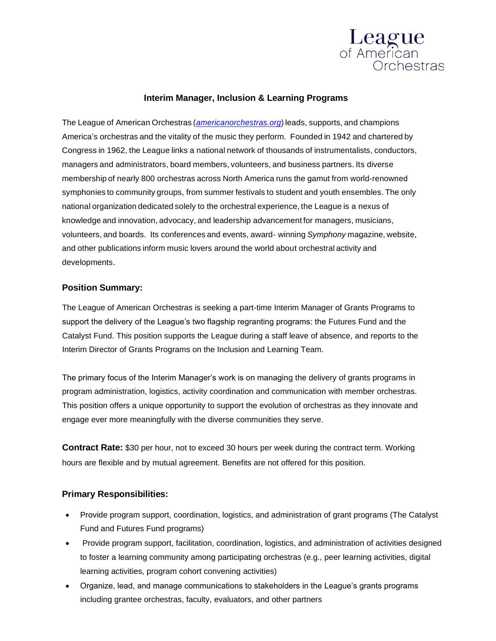

## **Interim Manager, Inclusion & Learning Programs**

The League of American Orchestras (*[americanorchestras.org](http://www.americanorchestras.org/)*) leads, supports, and champions America's orchestras and the vitality of the music they perform. Founded in 1942 and chartered by Congress in 1962, the League links a national network of thousands of instrumentalists, conductors, managers and administrators, board members, volunteers, and business partners. Its diverse membership of nearly 800 orchestras across North America runs the gamut from world-renowned symphonies to community groups, from summer festivals to student and youth ensembles. The only national organization dedicated solely to the orchestral experience, the League is a nexus of knowledge and innovation, advocacy, and leadership advancement for managers, musicians, volunteers, and boards. Its conferences and events, award- winning *Symphony* magazine, website, and other publications inform music lovers around the world about orchestral activity and developments.

#### **Position Summary:**

The League of American Orchestras is seeking a part-time Interim Manager of Grants Programs to support the delivery of the League's two flagship regranting programs: the Futures Fund and the Catalyst Fund. This position supports the League during a staff leave of absence, and reports to the Interim Director of Grants Programs on the Inclusion and Learning Team.

The primary focus of the Interim Manager's work is on managing the delivery of grants programs in program administration, logistics, activity coordination and communication with member orchestras. This position offers a unique opportunity to support the evolution of orchestras as they innovate and engage ever more meaningfully with the diverse communities they serve.

**Contract Rate:** \$30 per hour, not to exceed 30 hours per week during the contract term. Working hours are flexible and by mutual agreement. Benefits are not offered for this position.

### **Primary Responsibilities:**

- Provide program support, coordination, logistics, and administration of grant programs (The Catalyst Fund and Futures Fund programs)
- Provide program support, facilitation, coordination, logistics, and administration of activities designed to foster a learning community among participating orchestras (e.g., peer learning activities, digital learning activities, program cohort convening activities)
- Organize, lead, and manage communications to stakeholders in the League's grants programs including grantee orchestras, faculty, evaluators, and other partners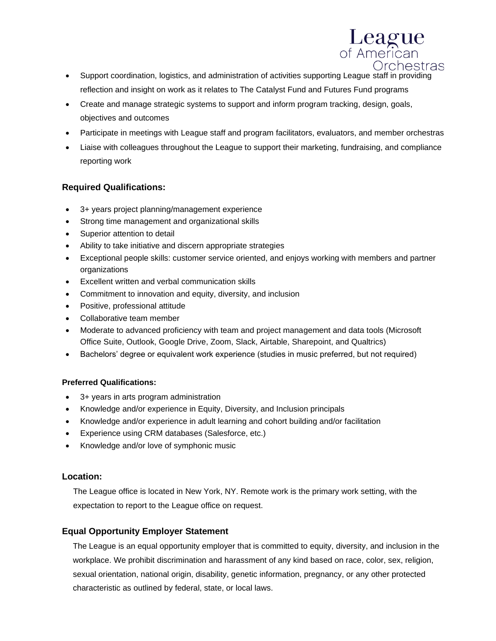

- Support coordination, logistics, and administration of activities supporting League staff in providing reflection and insight on work as it relates to The Catalyst Fund and Futures Fund programs
- Create and manage strategic systems to support and inform program tracking, design, goals, objectives and outcomes
- Participate in meetings with League staff and program facilitators, evaluators, and member orchestras
- Liaise with colleagues throughout the League to support their marketing, fundraising, and compliance reporting work

## **Required Qualifications:**

- 3+ years project planning/management experience
- Strong time management and organizational skills
- Superior attention to detail
- Ability to take initiative and discern appropriate strategies
- Exceptional people skills: customer service oriented, and enjoys working with members and partner organizations
- Excellent written and verbal communication skills
- Commitment to innovation and equity, diversity, and inclusion
- Positive, professional attitude
- Collaborative team member
- Moderate to advanced proficiency with team and project management and data tools (Microsoft Office Suite, Outlook, Google Drive, Zoom, Slack, Airtable, Sharepoint, and Qualtrics)
- Bachelors' degree or equivalent work experience (studies in music preferred, but not required)

### **Preferred Qualifications:**

- 3+ years in arts program administration
- Knowledge and/or experience in Equity, Diversity, and Inclusion principals
- Knowledge and/or experience in adult learning and cohort building and/or facilitation
- Experience using CRM databases (Salesforce, etc.)
- Knowledge and/or love of symphonic music

# **Location:**

The League office is located in New York, NY. Remote work is the primary work setting, with the expectation to report to the League office on request.

# **Equal Opportunity Employer Statement**

The League is an equal opportunity employer that is committed to equity, diversity, and inclusion in the workplace. We prohibit discrimination and harassment of any kind based on race, color, sex, religion, sexual orientation, national origin, disability, genetic information, pregnancy, or any other protected characteristic as outlined by federal, state, or local laws.